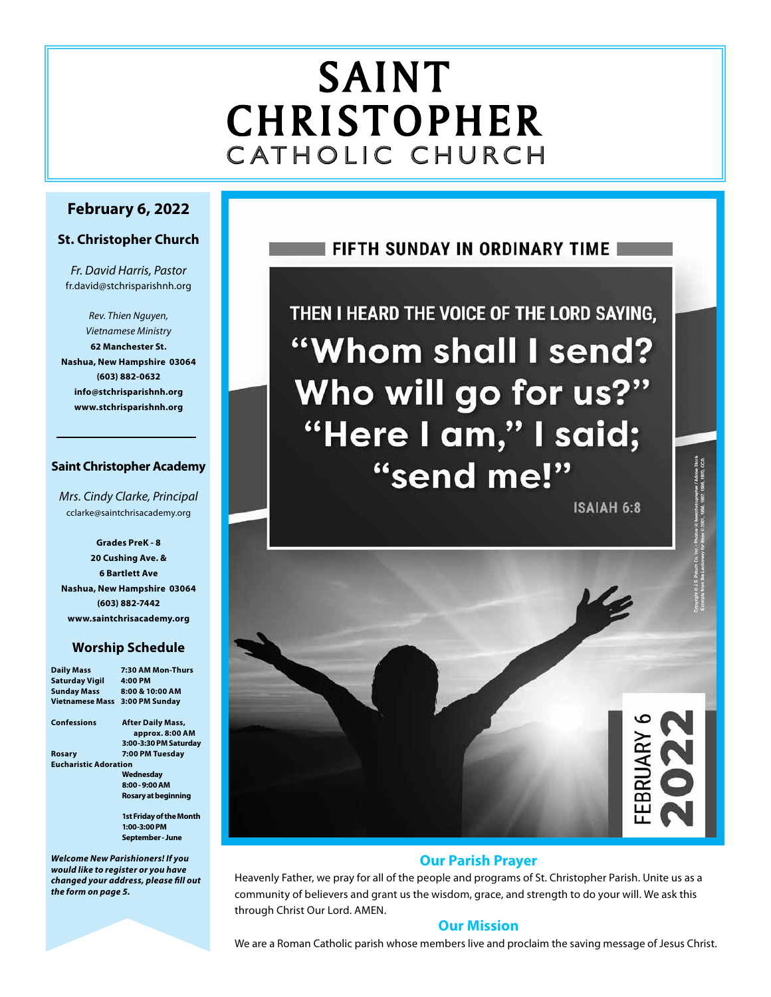# SAINT CHRISTOPHER C ATHOLIC CHURCH

# **February 6, 2022**

# **St. Christopher Church**

*Fr. David Harris, Pastor* fr.david@stchrisparishnh.org

*Rev. Thien Nguyen, Vietnamese Ministry* **62 Manchester St. Nashua, New Hampshire 03064 (603) 882-0632 info@stchrisparishnh.org www.stchrisparishnh.org**

# **Saint Christopher Academy**

*Mrs. Cindy Clarke, Principal* cclarke@saintchrisacademy.org

**Grades PreK - 8 20 Cushing Ave. & 6 Bartlett Ave Nashua, New Hampshire 03064 (603) 882-7442 www.saintchrisacademy.org**

# **Worship Schedule**

| <b>Daily Mass</b>            | 7:30 AM Mon-Thurs              |
|------------------------------|--------------------------------|
| <b>Saturday Vigil</b>        | 4:00 PM                        |
| <b>Sunday Mass</b>           | 8:00 & 10:00 AM                |
| Vietnamese Mass              | 3:00 PM Sunday                 |
| Confessions                  | <b>After Daily Mass,</b>       |
|                              | approx. 8:00 AM                |
|                              | 3:00-3:30 PM Saturday          |
| Rosary                       | 7:00 PM Tuesday                |
| <b>Eucharistic Adoration</b> |                                |
|                              | Wednesday                      |
|                              | 8:00 - 9:00 AM                 |
|                              | Rosary at beginning            |
|                              | <b>1st Friday of the Month</b> |
|                              | $1:00-3:00$ PM                 |
|                              | September - June               |
|                              |                                |

*Welcome New Parishioners! If you would like to register or you have changed your address, please fill out the form on page 5.*

# **FIFTH SUNDAY IN ORDINARY TIME I**

THEN I HEARD THE VOICE OF THE LORD SAYING, "Whom shall I send? Who will go for us?" "Here I am," I said; "send me!"

**ISAIAH 6:8** 

na / Automa Supera<br>Bud, 1970, CCD



# **Our Parish Prayer**

Heavenly Father, we pray for all of the people and programs of St. Christopher Parish. Unite us as a community of believers and grant us the wisdom, grace, and strength to do your will. We ask this through Christ Our Lord. AMEN.

# **Our Mission**

We are a Roman Catholic parish whose members live and proclaim the saving message of Jesus Christ.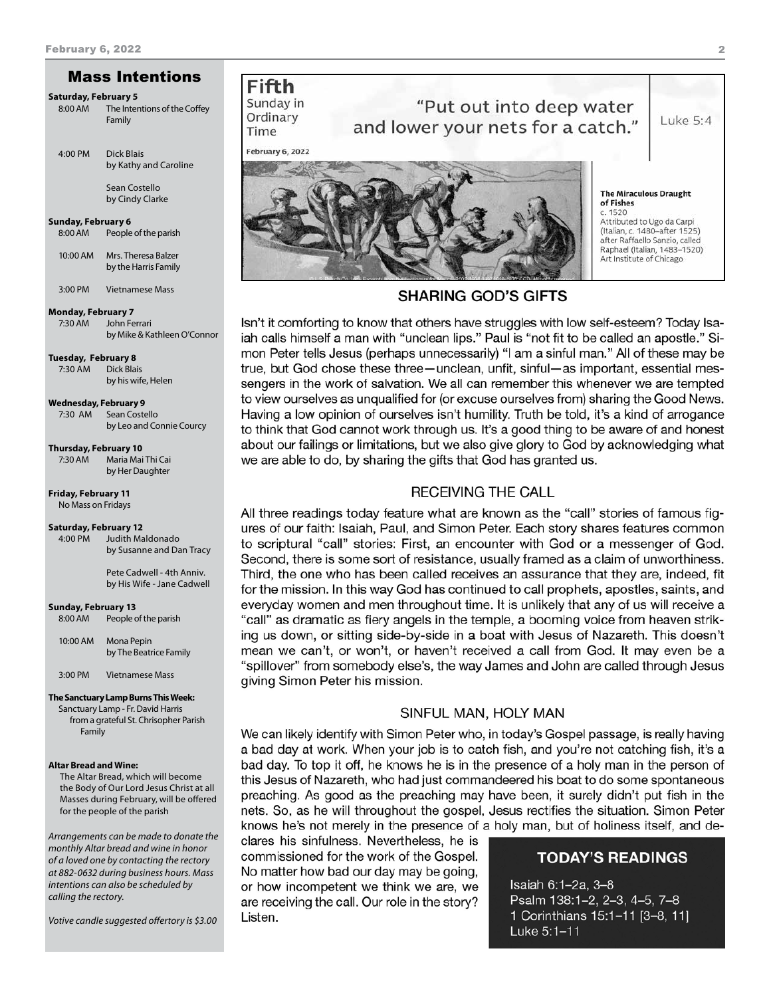# Mass Intentions

#### **Saturday, February 5**

8:00 AM The Intentions of the Coffey Family

4:00 PM Dick Blais by Kathy and Caroline Sean Costello

by Cindy Clarke

**Sunday, February 6**

8:00 AM People of the parish

10:00 AM Mrs. Theresa Balzer by the Harris Family

3:00 PM Vietnamese Mass

#### **Monday, February 7**

7:30 AM John Ferrari by Mike & Kathleen O'Connor

**Tuesday, February 8**

7:30 AM Dick Blais by his wife, Helen

**Wednesday, February 9**

7:30 AM Sean Costello by Leo and Connie Courcy

**Thursday, February 10**

7:30 AM Maria Mai Thi Cai by Her Daughter

**Friday, February 11**

No Mass on Fridays

# **Saturday, February 12**

Judith Maldonado by Susanne and Dan Tracy

 Pete Cadwell - 4th Anniv. by His Wife - Jane Cadwell

**Sunday, February 13** 8:00 AM People of the parish

10:00 AM Mona Pepin by The Beatrice Family

3:00 PM Vietnamese Mass

#### **The Sanctuary Lamp Burns This Week:**

Sanctuary Lamp - Fr. David Harris from a grateful St. Chrisopher Parish Family

#### **Altar Bread and Wine:**

The Altar Bread, which will become the Body of Our Lord Jesus Christ at all Masses during February, will be offered for the people of the parish

*Arrangements can be made to donate the monthly Altar bread and wine in honor of a loved one by contacting the rectory at 882-0632 during business hours. Mass intentions can also be scheduled by calling the rectory.* 

*Votive candle suggested offertory is \$3.00* 

# **Fifth** Sunday in Ordinary

Time

# "Put out into deep water and lower your nets for a catch."

February 6, 2022



# **SHARING GOD'S GIFTS**

Isn't it comforting to know that others have struggles with low self-esteem? Today Isaiah calls himself a man with "unclean lips." Paul is "not fit to be called an apostle." Simon Peter tells Jesus (perhaps unnecessarily) "I am a sinful man." All of these may be true, but God chose these three - unclean, unfit, sinful - as important, essential messengers in the work of salvation. We all can remember this whenever we are tempted to view ourselves as unqualified for (or excuse ourselves from) sharing the Good News. Having a low opinion of ourselves isn't humility. Truth be told, it's a kind of arrogance to think that God cannot work through us. It's a good thing to be aware of and honest about our failings or limitations, but we also give glory to God by acknowledging what we are able to do, by sharing the gifts that God has granted us.

# **RECEIVING THE CALL**

All three readings today feature what are known as the "call" stories of famous figures of our faith: Isaiah, Paul, and Simon Peter. Each story shares features common to scriptural "call" stories: First, an encounter with God or a messenger of God. Second, there is some sort of resistance, usually framed as a claim of unworthiness. Third, the one who has been called receives an assurance that they are, indeed, fit for the mission. In this way God has continued to call prophets, apostles, saints, and everyday women and men throughout time. It is unlikely that any of us will receive a "call" as dramatic as fiery angels in the temple, a booming voice from heaven striking us down, or sitting side-by-side in a boat with Jesus of Nazareth. This doesn't mean we can't, or won't, or haven't received a call from God. It may even be a "spillover" from somebody else's, the way James and John are called through Jesus giving Simon Peter his mission.

## SINFUL MAN, HOLY MAN

We can likely identify with Simon Peter who, in today's Gospel passage, is really having a bad day at work. When your job is to catch fish, and you're not catching fish, it's a bad day. To top it off, he knows he is in the presence of a holy man in the person of this Jesus of Nazareth, who had just commandeered his boat to do some spontaneous preaching. As good as the preaching may have been, it surely didn't put fish in the nets. So, as he will throughout the gospel, Jesus rectifies the situation. Simon Peter knows he's not merely in the presence of a holy man, but of holiness itself, and de-

clares his sinfulness. Nevertheless, he is commissioned for the work of the Gospel. No matter how bad our day may be going, or how incompetent we think we are, we are receiving the call. Our role in the story? Listen.

# **TODAY'S READINGS**

Isaiah 6:1-2a, 3-8 Psalm 138:1-2, 2-3, 4-5, 7-8 1 Corinthians 15:1-11 [3-8, 11] Luke 5:1-11

Luke 5:4

2

**The Miraculous Draught** of Fishes 1520 Attributed to Ugo da Carpi (Italian, c. 1480-after 1525) after Raffaello Sanzio, called Raphael (Italian, 1483-1520) Art Institute of Chicago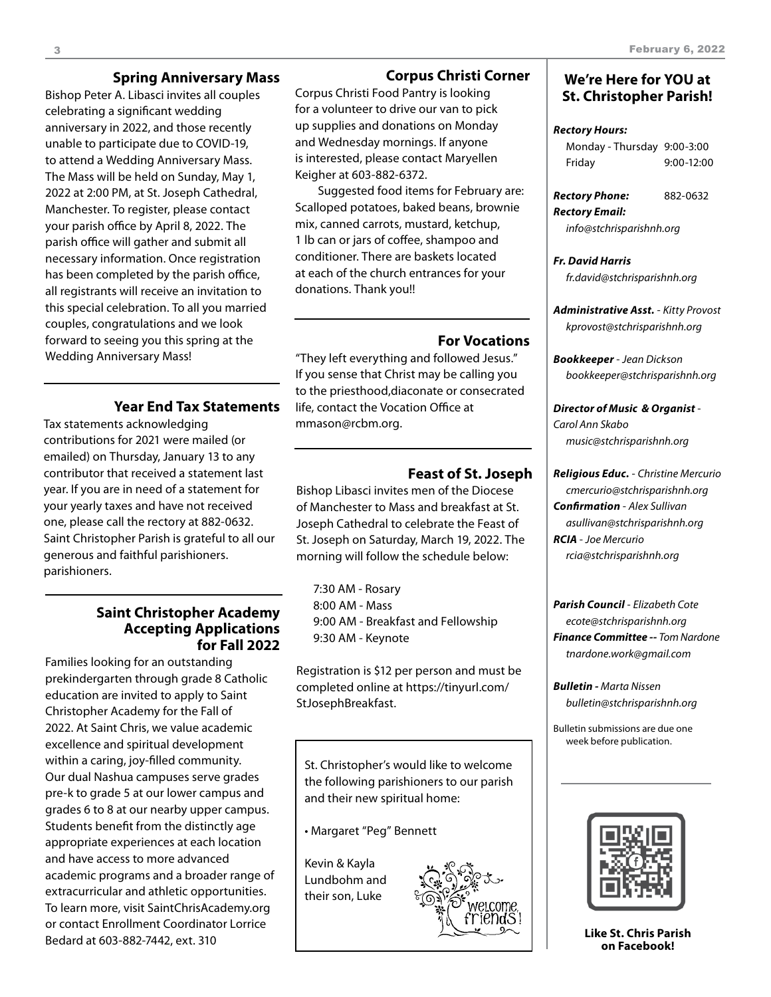# **Spring Anniversary Mass**

Bishop Peter A. Libasci invites all couples celebrating a significant wedding anniversary in 2022, and those recently unable to participate due to COVID-19, to attend a Wedding Anniversary Mass. The Mass will be held on Sunday, May 1, 2022 at 2:00 PM, at St. Joseph Cathedral, Manchester. To register, please contact your parish office by April 8, 2022. The parish office will gather and submit all necessary information. Once registration has been completed by the parish office, all registrants will receive an invitation to this special celebration. To all you married couples, congratulations and we look forward to seeing you this spring at the Wedding Anniversary Mass!

# **Year End Tax Statements**

Tax statements acknowledging contributions for 2021 were mailed (or emailed) on Thursday, January 13 to any contributor that received a statement last year. If you are in need of a statement for your yearly taxes and have not received one, please call the rectory at 882-0632. Saint Christopher Parish is grateful to all our generous and faithful parishioners. parishioners.

# **Saint Christopher Academy Accepting Applications for Fall 2022**

Families looking for an outstanding prekindergarten through grade 8 Catholic education are invited to apply to Saint Christopher Academy for the Fall of 2022. At Saint Chris, we value academic excellence and spiritual development within a caring, joy-filled community. Our dual Nashua campuses serve grades pre-k to grade 5 at our lower campus and grades 6 to 8 at our nearby upper campus. Students benefit from the distinctly age appropriate experiences at each location and have access to more advanced academic programs and a broader range of extracurricular and athletic opportunities. To learn more, visit SaintChrisAcademy.org or contact Enrollment Coordinator Lorrice Bedard at 603-882-7442, ext. 310

# **Corpus Christi Corner**

Corpus Christi Food Pantry is looking for a volunteer to drive our van to pick up supplies and donations on Monday and Wednesday mornings. If anyone is interested, please contact Maryellen Keigher at 603-882-6372.

Suggested food items for February are: Scalloped potatoes, baked beans, brownie mix, canned carrots, mustard, ketchup, 1 lb can or jars of coffee, shampoo and conditioner. There are baskets located at each of the church entrances for your donations. Thank you!!

# **For Vocations**

"They left everything and followed Jesus." If you sense that Christ may be calling you to the priesthood,diaconate or consecrated life, contact the Vocation Office at mmason@rcbm.org.

# **Feast of St. Joseph**

Bishop Libasci invites men of the Diocese of Manchester to Mass and breakfast at St. Joseph Cathedral to celebrate the Feast of St. Joseph on Saturday, March 19, 2022. The morning will follow the schedule below:

7:30 AM - Rosary 8:00 AM - Mass 9:00 AM - Breakfast and Fellowship 9:30 AM - Keynote

Registration is \$12 per person and must be completed online at https://tinyurl.com/ StJosephBreakfast.

St. Christopher's would like to welcome the following parishioners to our parish and their new spiritual home:

• Margaret "Peg" Bennett

Kevin & Kayla Lundbohm and their son, Luke



# **We're Here for YOU at St. Christopher Parish!**

#### *Rectory Hours:*

Monday - Thursday 9:00-3:00 Friday 9:00-12:00

*Rectory Phone:* 882-0632

*Rectory Email: info@stchrisparishnh.org*

## *Fr. David Harris fr.david@stchrisparishnh.org*

*Administrative Asst.* - *Kitty Provost kprovost@stchrisparishnh.org*

*Bookkeeper* - *Jean Dickson bookkeeper@stchrisparishnh.org*

#### *Director of Music & Organist* - *Carol Ann Skabo*

*music@stchrisparishnh.org*

# *Religious Educ.* - *Christine Mercurio*

*cmercurio@stchrisparishnh.org Confirmation* - *Alex Sullivan asullivan@stchrisparishnh.org RCIA* - *Joe Mercurio rcia@stchrisparishnh.org*

*Parish Council* - *Elizabeth Cote ecote@stchrisparishnh.org Finance Committee -- Tom Nardone tnardone.work@gmail.com*

*Bulletin - Marta Nissen bulletin@stchrisparishnh.org*

Bulletin submissions are due one week before publication.



**Like St. Chris Parish on Facebook!**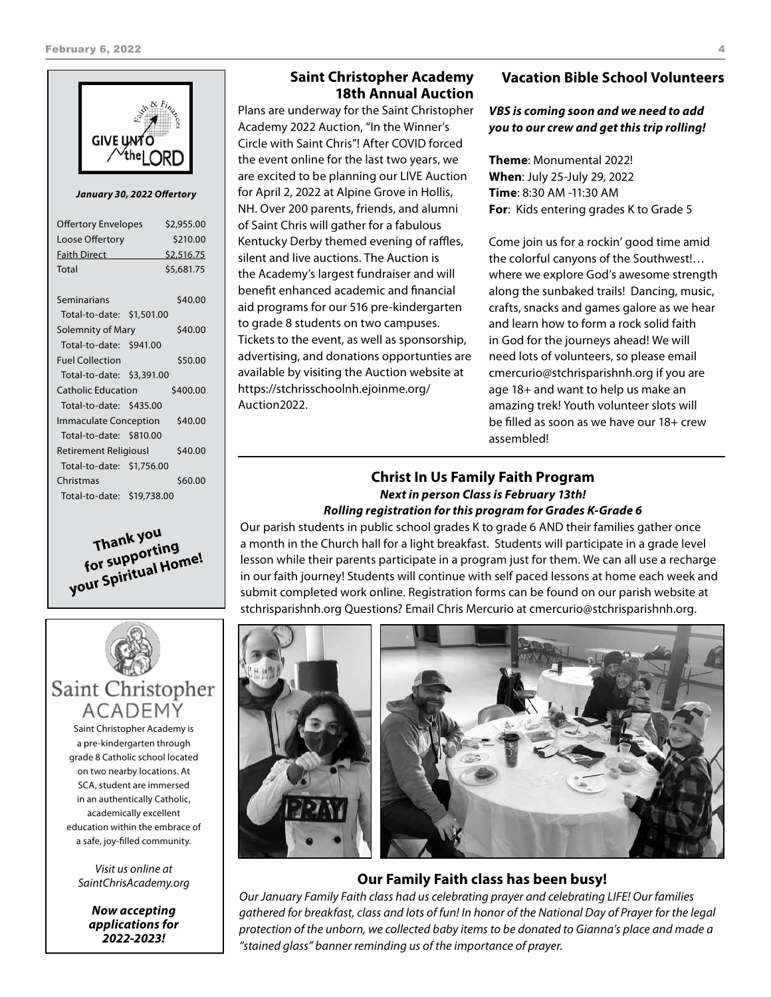

*January 30, 2022 Offertory*

| <b>Offertory Envelopes</b> |  | \$2,955.00 |
|----------------------------|--|------------|
| Loose Offertory            |  | \$210.00   |
| <b>Faith Direct</b>        |  | \$2,516.75 |
| Total                      |  | \$5,681.75 |
| Seminarians                |  | \$40.00    |
| Total-to-date: \$1,501.00  |  |            |
|                            |  |            |
| Solemnity of Mary          |  | \$40.00    |
| Total-to-date: \$941.00    |  |            |
| <b>Fuel Collection</b>     |  | \$50.00    |
| Total-to-date: \$3,391.00  |  |            |
| <b>Catholic Education</b>  |  | \$400.00   |
| Total-to-date: \$435.00    |  |            |
| Immaculate Conception      |  | \$40.00    |
| Total-to-date: \$810.00    |  |            |
| Retirement Religiousl      |  | \$40.00    |
| Total-to-date: \$1,756.00  |  |            |
| Christmas                  |  | \$60.00    |
| Total-to-date: \$19,738.00 |  |            |





Saint Christopher Academy is a pre-kindergarten through grade 8 Catholic school located on two nearby locations. At SCA, student are immersed in an authentically Catholic, academically excellent education within the embrace of a safe, joy-filled community.

*Visit us online at SaintChrisAcademy.org*

*Now accepting applications for 2022-2023!*

# **Saint Christopher Academy 18th Annual Auction**

Plans are underway for the Saint Christopher Academy 2022 Auction, "In the Winner's Circle with Saint Chris"! After COVID forced the event online for the last two years, we are excited to be planning our LIVE Auction for April 2, 2022 at Alpine Grove in Hollis, NH. Over 200 parents, friends, and alumni of Saint Chris will gather for a fabulous Kentucky Derby themed evening of raffles, silent and live auctions. The Auction is the Academy's largest fundraiser and will benefit enhanced academic and financial aid programs for our 516 pre-kindergarten to grade 8 students on two campuses. Tickets to the event, as well as sponsorship, advertising, and donations opportunties are available by visiting the Auction website at https://stchrisschoolnh.ejoinme.org/ Auction2022.

# **Vacation Bible School Volunteers**

# *VBS is coming soon and we need to add you to our crew and get this trip rolling!*

**Theme**: Monumental 2022! **When**: July 25-July 29, 2022 **Time**: 8:30 AM -11:30 AM **For**: Kids entering grades K to Grade 5

Come join us for a rockin' good time amid the colorful canyons of the Southwest!… where we explore God's awesome strength along the sunbaked trails! Dancing, music, crafts, snacks and games galore as we hear and learn how to form a rock solid faith in God for the journeys ahead! We will need lots of volunteers, so please email cmercurio@stchrisparishnh.org if you are age 18+ and want to help us make an amazing trek! Youth volunteer slots will be filled as soon as we have our 18+ crew assembled!

# **Christ In Us Family Faith Program**  *Next in person Class is February 13th! Rolling registration for this program for Grades K-Grade 6*

Our parish students in public school grades K to grade 6 AND their families gather once a month in the Church hall for a light breakfast. Students will participate in a grade level lesson while their parents participate in a program just for them. We can all use a recharge in our faith journey! Students will continue with self paced lessons at home each week and submit completed work online. Registration forms can be found on our parish website at stchrisparishnh.org Questions? Email Chris Mercurio at cmercurio@stchrisparishnh.org.



# **Our Family Faith class has been busy!**

*Our January Family Faith class had us celebrating prayer and celebrating LIFE! Our families gathered for breakfast, class and lots of fun! In honor of the National Day of Prayer for the legal protection of the unborn, we collected baby items to be donated to Gianna's place and made a "stained glass" banner reminding us of the importance of prayer.*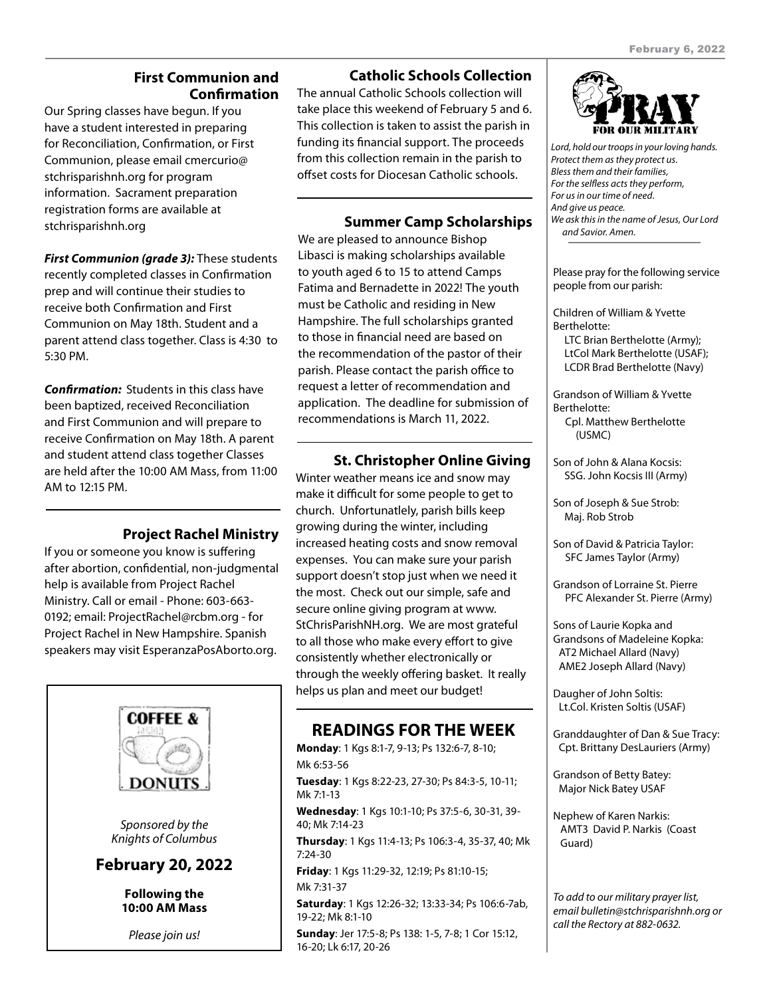# **First Communion and Confirmation**

Our Spring classes have begun. If you have a student interested in preparing for Reconciliation, Confirmation, or First Communion, please email cmercurio@ stchrisparishnh.org for program information. Sacrament preparation registration forms are available at stchrisparishnh.org

*First Communion (grade 3):* These students recently completed classes in Confirmation prep and will continue their studies to receive both Confirmation and First Communion on May 18th. Student and a parent attend class together. Class is 4:30 to 5:30 PM.

*Confirmation:* Students in this class have been baptized, received Reconciliation and First Communion and will prepare to receive Confirmation on May 18th. A parent and student attend class together Classes are held after the 10:00 AM Mass, from 11:00 AM to 12:15 PM.

# **Project Rachel Ministry**

If you or someone you know is suffering after abortion, confidential, non-judgmental help is available from Project Rachel Ministry. Call or email - Phone: 603-663- 0192; email: ProjectRachel@rcbm.org - for Project Rachel in New Hampshire. Spanish speakers may visit EsperanzaPosAborto.org.



# **Catholic Schools Collection**

The annual Catholic Schools collection will take place this weekend of February 5 and 6. This collection is taken to assist the parish in funding its financial support. The proceeds from this collection remain in the parish to offset costs for Diocesan Catholic schools.

# **Summer Camp Scholarships**

We are pleased to announce Bishop Libasci is making scholarships available to youth aged 6 to 15 to attend Camps Fatima and Bernadette in 2022! The youth must be Catholic and residing in New Hampshire. The full scholarships granted to those in financial need are based on the recommendation of the pastor of their parish. Please contact the parish office to request a letter of recommendation and application. The deadline for submission of recommendations is March 11, 2022.

# **St. Christopher Online Giving**

Winter weather means ice and snow may make it difficult for some people to get to church. Unfortunatlely, parish bills keep growing during the winter, including increased heating costs and snow removal expenses. You can make sure your parish support doesn't stop just when we need it the most. Check out our simple, safe and secure online giving program at www. StChrisParishNH.org. We are most grateful to all those who make every effort to give consistently whether electronically or through the weekly offering basket. It really helps us plan and meet our budget!

# **READINGS FOR THE WEEK**

**Monday**: 1 Kgs 8:1-7, 9-13; Ps 132:6-7, 8-10; Mk 6:53-56

**Tuesday**: 1 Kgs 8:22-23, 27-30; Ps 84:3-5, 10-11; Mk 7:1-13

**Wednesday**: 1 Kgs 10:1-10; Ps 37:5-6, 30-31, 39- 40; Mk 7:14-23

**Thursday**: 1 Kgs 11:4-13; Ps 106:3-4, 35-37, 40; Mk 7:24-30

**Friday**: 1 Kgs 11:29-32, 12:19; Ps 81:10-15; Mk 7:31-37

**Saturday**: 1 Kgs 12:26-32; 13:33-34; Ps 106:6-7ab, 19-22; Mk 8:1-10

**Sunday**: Jer 17:5-8; Ps 138: 1-5, 7-8; 1 Cor 15:12, 16-20; Lk 6:17, 20-26



*Lord, hold our troops in your loving hands. Protect them as they protect us. Bless them and their families, For the selfless acts they perform, For us in our time of need. And give us peace. We ask this in the name of Jesus, Our Lord and Savior. Amen.*

Please pray for the following service people from our parish:

Children of William & Yvette Berthelotte: LTC Brian Berthelotte (Army);

LtCol Mark Berthelotte (USAF); LCDR Brad Berthelotte (Navy)

Grandson of William & Yvette Berthelotte: Cpl. Matthew Berthelotte (USMC)

- Son of John & Alana Kocsis: SSG. John Kocsis III (Army)
- Son of Joseph & Sue Strob: Maj. Rob Strob

Son of David & Patricia Taylor: SFC James Taylor (Army)

Grandson of Lorraine St. Pierre PFC Alexander St. Pierre (Army)

Sons of Laurie Kopka and Grandsons of Madeleine Kopka: AT2 Michael Allard (Navy) AME2 Joseph Allard (Navy)

Daugher of John Soltis: Lt.Col. Kristen Soltis (USAF)

Granddaughter of Dan & Sue Tracy: Cpt. Brittany DesLauriers (Army)

Grandson of Betty Batey: Major Nick Batey USAF

Nephew of Karen Narkis: AMT3 David P. Narkis (Coast Guard)

*To add to our military prayer list, email bulletin@stchrisparishnh.org or call the Rectory at 882-0632.*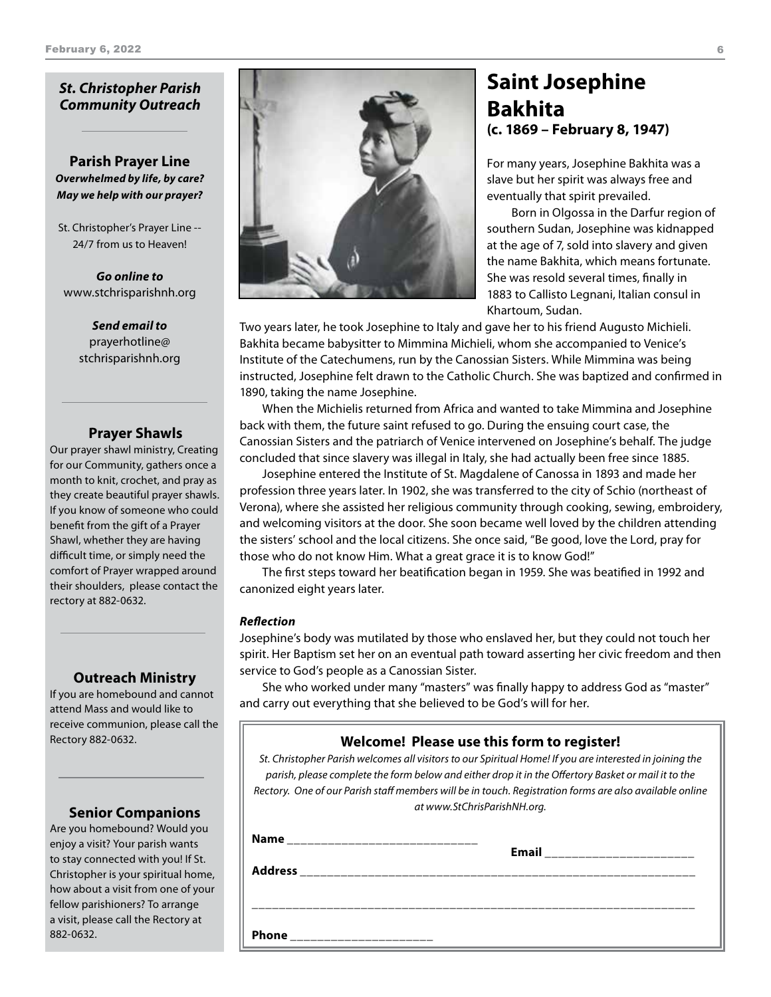# *St. Christopher Parish Community Outreach*

**Parish Prayer Line** *Overwhelmed by life, by care? May we help with our prayer?*

St. Christopher's Prayer Line -- 24/7 from us to Heaven!

*Go online to* www.stchrisparishnh.org

> *Send email to* prayerhotline@ stchrisparishnh.org

## **Prayer Shawls**

Our prayer shawl ministry, Creating for our Community, gathers once a month to knit, crochet, and pray as they create beautiful prayer shawls. If you know of someone who could benefit from the gift of a Prayer Shawl, whether they are having difficult time, or simply need the comfort of Prayer wrapped around their shoulders, please contact the rectory at 882-0632.

## **Outreach Ministry**

If you are homebound and cannot attend Mass and would like to receive communion, please call the Rectory 882-0632.

# **Senior Companions**

Are you homebound? Would you enjoy a visit? Your parish wants to stay connected with you! If St. Christopher is your spiritual home, how about a visit from one of your fellow parishioners? To arrange a visit, please call the Rectory at 882-0632.



# **Saint Josephine Bakhita (c. 1869 – February 8, 1947)**

For many years, Josephine Bakhita was a slave but her spirit was always free and eventually that spirit prevailed.

Born in Olgossa in the Darfur region of southern Sudan, Josephine was kidnapped at the age of 7, sold into slavery and given the name Bakhita, which means fortunate. She was resold several times, finally in 1883 to Callisto Legnani, Italian consul in Khartoum, Sudan.

Two years later, he took Josephine to Italy and gave her to his friend Augusto Michieli. Bakhita became babysitter to Mimmina Michieli, whom she accompanied to Venice's Institute of the Catechumens, run by the Canossian Sisters. While Mimmina was being instructed, Josephine felt drawn to the Catholic Church. She was baptized and confirmed in 1890, taking the name Josephine.

When the Michielis returned from Africa and wanted to take Mimmina and Josephine back with them, the future saint refused to go. During the ensuing court case, the Canossian Sisters and the patriarch of Venice intervened on Josephine's behalf. The judge concluded that since slavery was illegal in Italy, she had actually been free since 1885.

Josephine entered the Institute of St. Magdalene of Canossa in 1893 and made her profession three years later. In 1902, she was transferred to the city of Schio (northeast of Verona), where she assisted her religious community through cooking, sewing, embroidery, and welcoming visitors at the door. She soon became well loved by the children attending the sisters' school and the local citizens. She once said, "Be good, love the Lord, pray for those who do not know Him. What a great grace it is to know God!"

The first steps toward her beatification began in 1959. She was beatified in 1992 and canonized eight years later.

### *Reflection*

Josephine's body was mutilated by those who enslaved her, but they could not touch her spirit. Her Baptism set her on an eventual path toward asserting her civic freedom and then service to God's people as a Canossian Sister.

She who worked under many "masters" was finally happy to address God as "master" and carry out everything that she believed to be God's will for her.

# **Welcome! Please use this form to register!**

*St. Christopher Parish welcomes all visitors to our Spiritual Home! If you are interested in joining the parish, please complete the form below and either drop it in the Offertory Basket or mail it to the Rectory. One of our Parish staff members will be in touch. Registration forms are also available online at www.StChrisParishNH.org.*

| <b>Name</b><br>_____________________________ | <b>Email</b> |
|----------------------------------------------|--------------|
| <b>Address</b>                               |              |
|                                              |              |
| Phone                                        |              |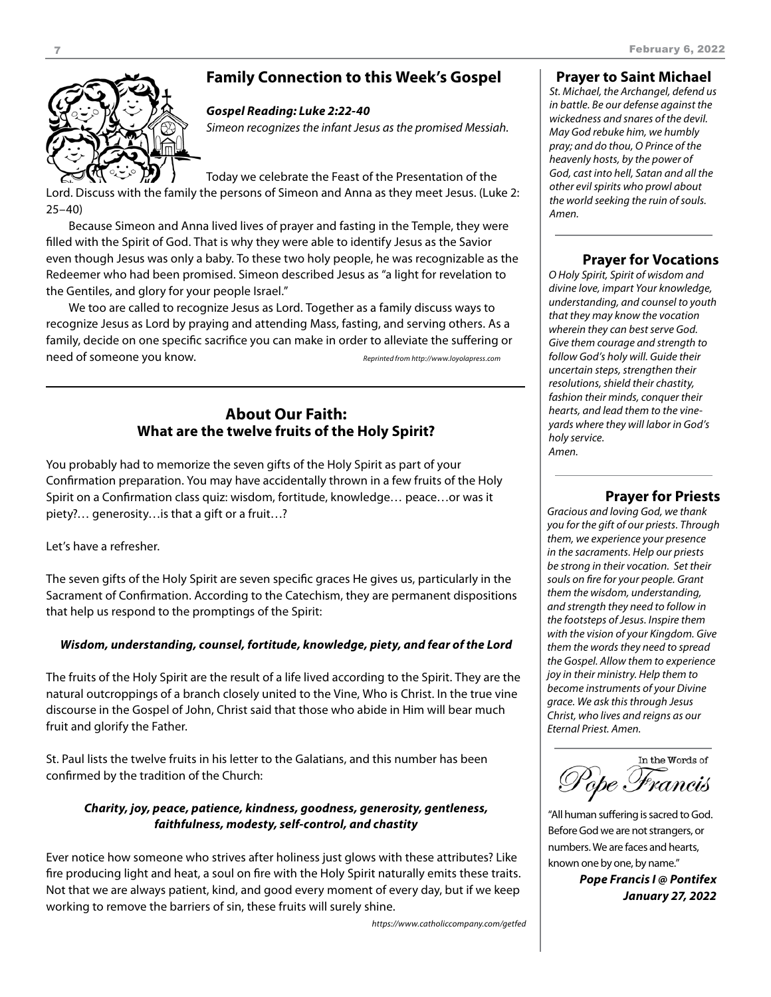# **Family Connection to this Week's Gospel**

# *Gospel Reading: Luke 2:22-40*

*Simeon recognizes the infant Jesus as the promised Messiah.*

Today we celebrate the Feast of the Presentation of the Lord. Discuss with the family the persons of Simeon and Anna as they meet Jesus. (Luke 2: 25–40)

Because Simeon and Anna lived lives of prayer and fasting in the Temple, they were filled with the Spirit of God. That is why they were able to identify Jesus as the Savior even though Jesus was only a baby. To these two holy people, he was recognizable as the Redeemer who had been promised. Simeon described Jesus as "a light for revelation to the Gentiles, and glory for your people Israel."

We too are called to recognize Jesus as Lord. Together as a family discuss ways to recognize Jesus as Lord by praying and attending Mass, fasting, and serving others. As a family, decide on one specific sacrifice you can make in order to alleviate the suffering or need of someone you know. *Reprinted from http://www.loyolapress.com*

# **About Our Faith: What are the twelve fruits of the Holy Spirit?**

You probably had to memorize the seven gifts of the Holy Spirit as part of your Confirmation preparation. You may have accidentally thrown in a few fruits of the Holy Spirit on a Confirmation class quiz: wisdom, fortitude, knowledge… peace…or was it piety?… generosity…is that a gift or a fruit…?

Let's have a refresher.

The seven gifts of the Holy Spirit are seven specific graces He gives us, particularly in the Sacrament of Confirmation. According to the Catechism, they are permanent dispositions that help us respond to the promptings of the Spirit:

# *Wisdom, understanding, counsel, fortitude, knowledge, piety, and fear of the Lord*

The fruits of the Holy Spirit are the result of a life lived according to the Spirit. They are the natural outcroppings of a branch closely united to the Vine, Who is Christ. In the true vine discourse in the Gospel of John, Christ said that those who abide in Him will bear much fruit and glorify the Father.

St. Paul lists the twelve fruits in his letter to the Galatians, and this number has been confirmed by the tradition of the Church:

# *Charity, joy, peace, patience, kindness, goodness, generosity, gentleness, faithfulness, modesty, self-control, and chastity*

Ever notice how someone who strives after holiness just glows with these attributes? Like fire producing light and heat, a soul on fire with the Holy Spirit naturally emits these traits. Not that we are always patient, kind, and good every moment of every day, but if we keep working to remove the barriers of sin, these fruits will surely shine.

*https://www.catholiccompany.com/getfed*

## **Prayer to Saint Michael**

*St. Michael, the Archangel, defend us in battle. Be our defense against the wickedness and snares of the devil. May God rebuke him, we humbly pray; and do thou, O Prince of the heavenly hosts, by the power of God, cast into hell, Satan and all the other evil spirits who prowl about the world seeking the ruin of souls. Amen.*

# **Prayer for Vocations**

*O Holy Spirit, Spirit of wisdom and divine love, impart Your knowledge, understanding, and counsel to youth that they may know the vocation wherein they can best serve God. Give them courage and strength to follow God's holy will. Guide their uncertain steps, strengthen their resolutions, shield their chastity, fashion their minds, conquer their hearts, and lead them to the vineyards where they will labor in God's holy service. Amen.*

# **Prayer for Priests**

*Gracious and loving God, we thank you for the gift of our priests. Through them, we experience your presence in the sacraments. Help our priests be strong in their vocation. Set their souls on fire for your people. Grant them the wisdom, understanding, and strength they need to follow in the footsteps of Jesus. Inspire them with the vision of your Kingdom. Give them the words they need to spread the Gospel. Allow them to experience joy in their ministry. Help them to become instruments of your Divine grace. We ask this through Jesus Christ, who lives and reigns as our Eternal Priest. Amen.*

In the Words of °èpe Francis

"All human suffering is sacred to God. Before God we are not strangers, or numbers. We are faces and hearts, known one by one, by name."

> *Pope Francis I @ Pontifex January 27, 2022*